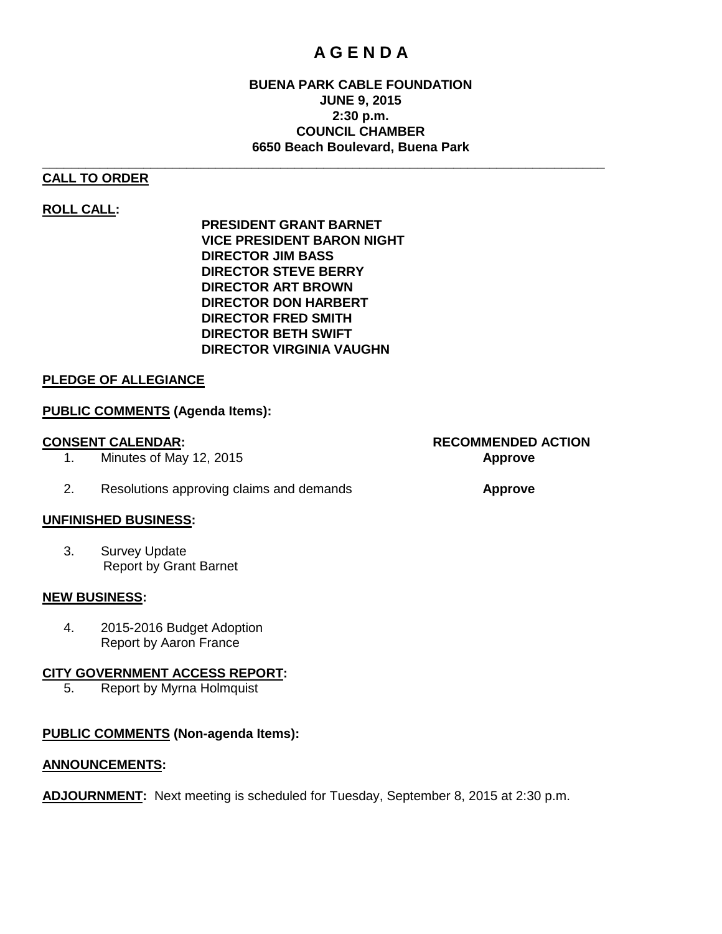# **A G E N D A**

# **BUENA PARK CABLE FOUNDATION JUNE 9, 2015 2:30 p.m. COUNCIL CHAMBER 6650 Beach Boulevard, Buena Park**

# **CALL TO ORDER**

# **ROLL CALL:**

**PRESIDENT GRANT BARNET VICE PRESIDENT BARON NIGHT DIRECTOR JIM BASS DIRECTOR STEVE BERRY DIRECTOR ART BROWN DIRECTOR DON HARBERT DIRECTOR FRED SMITH DIRECTOR BETH SWIFT DIRECTOR VIRGINIA VAUGHN**

**\_\_\_\_\_\_\_\_\_\_\_\_\_\_\_\_\_\_\_\_\_\_\_\_\_\_\_\_\_\_\_\_\_\_\_\_\_\_\_\_\_\_\_\_\_\_\_\_\_\_\_\_\_\_\_\_\_\_\_\_\_\_\_\_\_\_\_\_\_\_\_\_\_\_\_\_\_\_**

# **PLEDGE OF ALLEGIANCE**

# **PUBLIC COMMENTS (Agenda Items):**

- 1. Minutes of May 12, 2015 **Approve**
- 2. Resolutions approving claims and demands **Approve**

#### **UNFINISHED BUSINESS:**

3. Survey Update Report by Grant Barnet

#### **NEW BUSINESS:**

4. 2015-2016 Budget Adoption Report by Aaron France

#### **CITY GOVERNMENT ACCESS REPORT:**

5. Report by Myrna Holmquist

# **PUBLIC COMMENTS (Non-agenda Items):**

# **ANNOUNCEMENTS:**

**ADJOURNMENT:** Next meeting is scheduled for Tuesday, September 8, 2015 at 2:30 p.m.

**CONSENT CALENDAR: RECOMMENDED ACTION**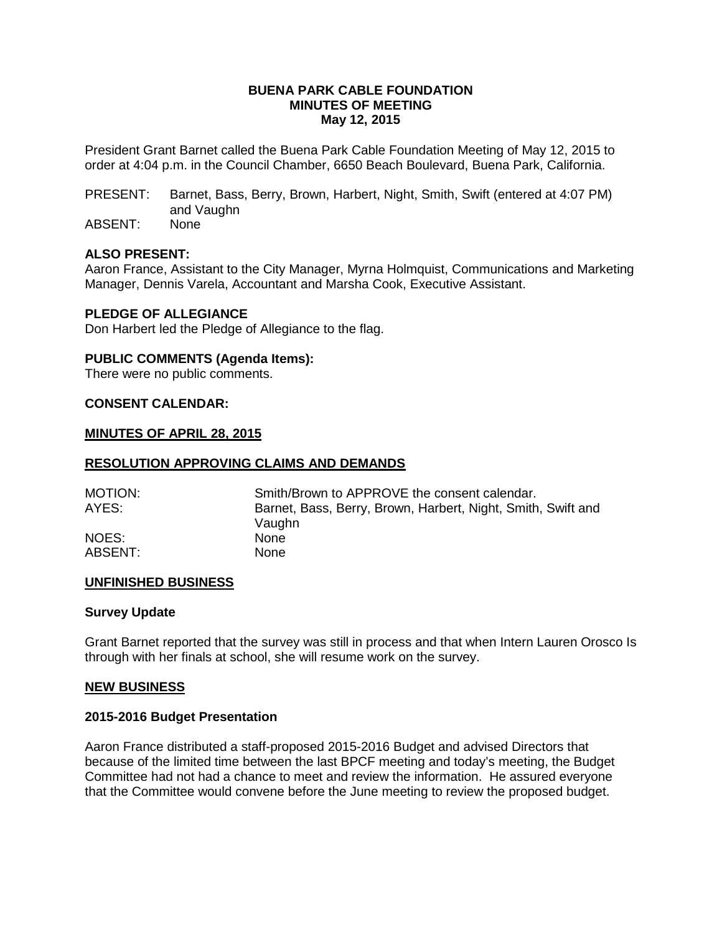### **BUENA PARK CABLE FOUNDATION MINUTES OF MEETING May 12, 2015**

President Grant Barnet called the Buena Park Cable Foundation Meeting of May 12, 2015 to order at 4:04 p.m. in the Council Chamber, 6650 Beach Boulevard, Buena Park, California.

PRESENT: Barnet, Bass, Berry, Brown, Harbert, Night, Smith, Swift (entered at 4:07 PM) and Vaughn

ABSENT: None

#### **ALSO PRESENT:**

Aaron France, Assistant to the City Manager, Myrna Holmquist, Communications and Marketing Manager, Dennis Varela, Accountant and Marsha Cook, Executive Assistant.

#### **PLEDGE OF ALLEGIANCE**

Don Harbert led the Pledge of Allegiance to the flag.

#### **PUBLIC COMMENTS (Agenda Items):**

There were no public comments.

# **CONSENT CALENDAR:**

#### **MINUTES OF APRIL 28, 2015**

#### **RESOLUTION APPROVING CLAIMS AND DEMANDS**

| <b>MOTION:</b> | Smith/Brown to APPROVE the consent calendar.                 |  |  |  |
|----------------|--------------------------------------------------------------|--|--|--|
| AYES:          | Barnet, Bass, Berry, Brown, Harbert, Night, Smith, Swift and |  |  |  |
|                | Vaughn                                                       |  |  |  |
| NOES:          | <b>None</b>                                                  |  |  |  |
| ABSENT:        | <b>None</b>                                                  |  |  |  |

#### **UNFINISHED BUSINESS**

### **Survey Update**

Grant Barnet reported that the survey was still in process and that when Intern Lauren Orosco Is through with her finals at school, she will resume work on the survey.

### **NEW BUSINESS**

## **2015-2016 Budget Presentation**

Aaron France distributed a staff-proposed 2015-2016 Budget and advised Directors that because of the limited time between the last BPCF meeting and today's meeting, the Budget Committee had not had a chance to meet and review the information. He assured everyone that the Committee would convene before the June meeting to review the proposed budget.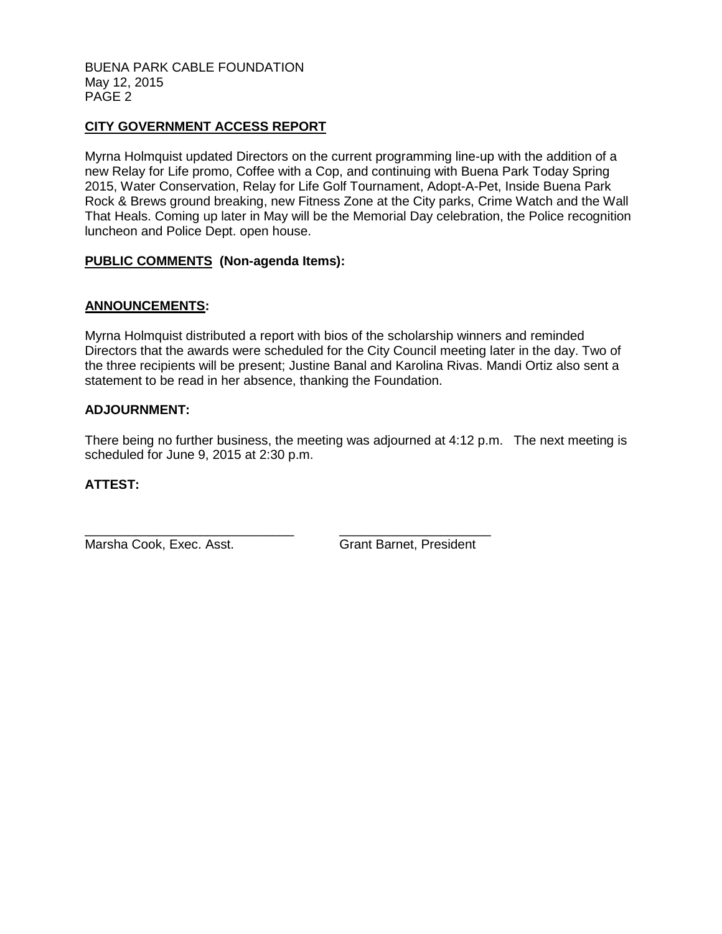#### BUENA PARK CABLE FOUNDATION May 12, 2015 PAGE 2

# **CITY GOVERNMENT ACCESS REPORT**

Myrna Holmquist updated Directors on the current programming line-up with the addition of a new Relay for Life promo, Coffee with a Cop, and continuing with Buena Park Today Spring 2015, Water Conservation, Relay for Life Golf Tournament, Adopt-A-Pet, Inside Buena Park Rock & Brews ground breaking, new Fitness Zone at the City parks, Crime Watch and the Wall That Heals. Coming up later in May will be the Memorial Day celebration, the Police recognition luncheon and Police Dept. open house.

# **PUBLIC COMMENTS (Non-agenda Items):**

# **ANNOUNCEMENTS:**

Myrna Holmquist distributed a report with bios of the scholarship winners and reminded Directors that the awards were scheduled for the City Council meeting later in the day. Two of the three recipients will be present; Justine Banal and Karolina Rivas. Mandi Ortiz also sent a statement to be read in her absence, thanking the Foundation.

# **ADJOURNMENT:**

There being no further business, the meeting was adjourned at 4:12 p.m. The next meeting is scheduled for June 9, 2015 at 2:30 p.m.

# **ATTEST:**

Marsha Cook, Exec. Asst. Grant Barnet, President

\_\_\_\_\_\_\_\_\_\_\_\_\_\_\_\_\_\_\_\_\_\_\_\_\_\_\_\_\_ \_\_\_\_\_\_\_\_\_\_\_\_\_\_\_\_\_\_\_\_\_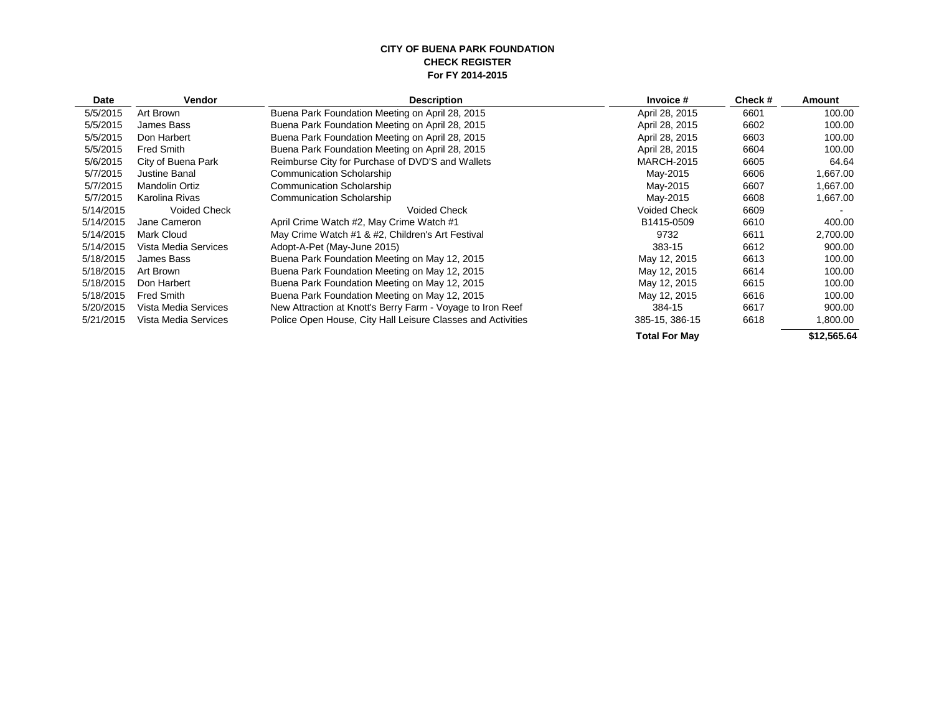#### **CITY OF BUENA PARK FOUNDATION CHECK REGISTER For FY 2014-2015**

| Date      | <b>Vendor</b>         | <b>Description</b>                                          | Invoice #            | Check# | Amount      |
|-----------|-----------------------|-------------------------------------------------------------|----------------------|--------|-------------|
| 5/5/2015  | Art Brown             | Buena Park Foundation Meeting on April 28, 2015             | April 28, 2015       | 6601   | 100.00      |
| 5/5/2015  | James Bass            | Buena Park Foundation Meeting on April 28, 2015             | April 28, 2015       | 6602   | 100.00      |
| 5/5/2015  | Don Harbert           | Buena Park Foundation Meeting on April 28, 2015             | April 28, 2015       | 6603   | 100.00      |
| 5/5/2015  | Fred Smith            | Buena Park Foundation Meeting on April 28, 2015             | April 28, 2015       | 6604   | 100.00      |
| 5/6/2015  | City of Buena Park    | Reimburse City for Purchase of DVD'S and Wallets            | <b>MARCH-2015</b>    | 6605   | 64.64       |
| 5/7/2015  | Justine Banal         | <b>Communication Scholarship</b>                            | May-2015             | 6606   | 1,667.00    |
| 5/7/2015  | <b>Mandolin Ortiz</b> | <b>Communication Scholarship</b>                            | May-2015             | 6607   | 1,667.00    |
| 5/7/2015  | Karolina Rivas        | <b>Communication Scholarship</b>                            | May-2015             | 6608   | 1,667.00    |
| 5/14/2015 | <b>Voided Check</b>   | <b>Voided Check</b>                                         | <b>Voided Check</b>  | 6609   |             |
| 5/14/2015 | Jane Cameron          | April Crime Watch #2, May Crime Watch #1                    | B1415-0509           | 6610   | 400.00      |
| 5/14/2015 | <b>Mark Cloud</b>     | May Crime Watch #1 & #2, Children's Art Festival            | 9732                 | 6611   | 2,700.00    |
| 5/14/2015 | Vista Media Services  | Adopt-A-Pet (May-June 2015)                                 | 383-15               | 6612   | 900.00      |
| 5/18/2015 | James Bass            | Buena Park Foundation Meeting on May 12, 2015               | May 12, 2015         | 6613   | 100.00      |
| 5/18/2015 | Art Brown             | Buena Park Foundation Meeting on May 12, 2015               | May 12, 2015         | 6614   | 100.00      |
| 5/18/2015 | Don Harbert           | Buena Park Foundation Meeting on May 12, 2015               | May 12, 2015         | 6615   | 100.00      |
| 5/18/2015 | <b>Fred Smith</b>     | Buena Park Foundation Meeting on May 12, 2015               | May 12, 2015         | 6616   | 100.00      |
| 5/20/2015 | Vista Media Services  | New Attraction at Knott's Berry Farm - Voyage to Iron Reef  | 384-15               | 6617   | 900.00      |
| 5/21/2015 | Vista Media Services  | Police Open House, City Hall Leisure Classes and Activities | 385-15, 386-15       | 6618   | 1,800.00    |
|           |                       |                                                             | <b>Total For May</b> |        | \$12,565.64 |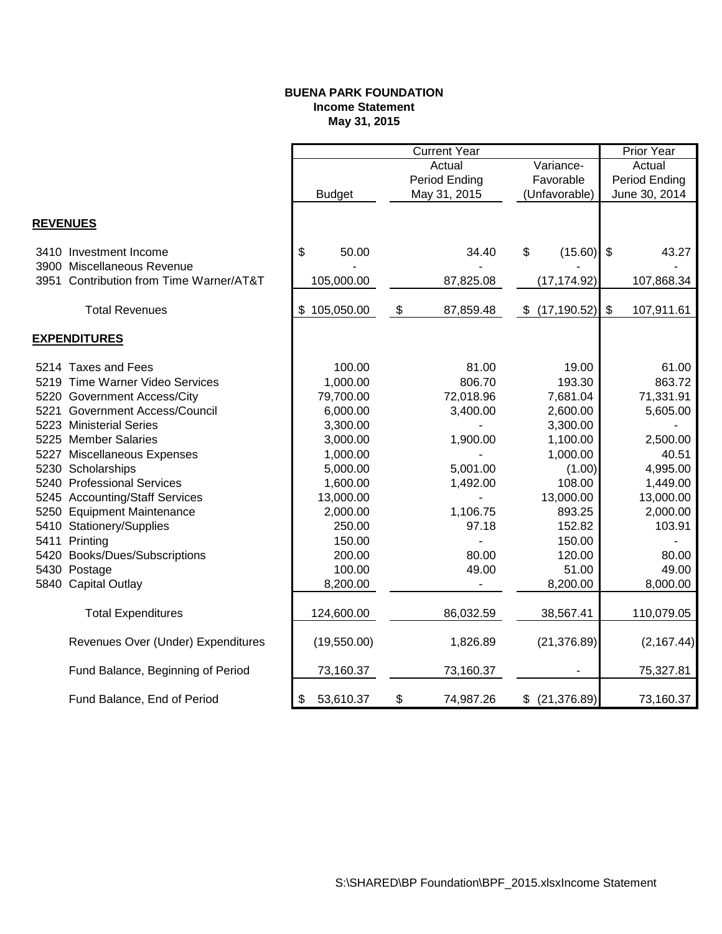# **BUENA PARK FOUNDATION Income Statement May 31, 2015**

|                 |                                         |                 | <b>Current Year</b> |                    |                | <b>Prior Year</b> |
|-----------------|-----------------------------------------|-----------------|---------------------|--------------------|----------------|-------------------|
|                 |                                         |                 | Actual              | Variance-          |                | Actual            |
|                 |                                         |                 | Period Ending       | Favorable          |                | Period Ending     |
|                 |                                         | <b>Budget</b>   | May 31, 2015        | (Unfavorable)      |                | June 30, 2014     |
|                 |                                         |                 |                     |                    |                |                   |
| <b>REVENUES</b> |                                         |                 |                     |                    |                |                   |
|                 | 3410 Investment Income                  | \$<br>50.00     | 34.40               | \$<br>(15.60)      | $\mathfrak{L}$ | 43.27             |
|                 | 3900 Miscellaneous Revenue              |                 |                     |                    |                |                   |
|                 | 3951 Contribution from Time Warner/AT&T | 105,000.00      | 87,825.08           | (17, 174.92)       |                | 107,868.34        |
|                 | <b>Total Revenues</b>                   | \$105,050.00    | \$<br>87,859.48     | \$<br>(17, 190.52) | \$             | 107,911.61        |
|                 |                                         |                 |                     |                    |                |                   |
|                 | <b>EXPENDITURES</b>                     |                 |                     |                    |                |                   |
|                 | 5214 Taxes and Fees                     | 100.00          | 81.00               | 19.00              |                | 61.00             |
|                 | 5219 Time Warner Video Services         | 1,000.00        | 806.70              | 193.30             |                | 863.72            |
|                 | 5220 Government Access/City             | 79,700.00       | 72,018.96           | 7,681.04           |                | 71,331.91         |
|                 | 5221 Government Access/Council          | 6,000.00        | 3,400.00            | 2,600.00           |                | 5,605.00          |
|                 | 5223 Ministerial Series                 | 3,300.00        |                     | 3,300.00           |                |                   |
|                 | 5225 Member Salaries                    | 3,000.00        | 1,900.00            | 1,100.00           |                | 2,500.00          |
|                 | 5227 Miscellaneous Expenses             | 1,000.00        |                     | 1,000.00           |                | 40.51             |
|                 | 5230 Scholarships                       | 5,000.00        | 5,001.00            | (1.00)             |                | 4,995.00          |
|                 | 5240 Professional Services              | 1,600.00        | 1,492.00            | 108.00             |                | 1,449.00          |
|                 | 5245 Accounting/Staff Services          | 13,000.00       |                     | 13,000.00          |                | 13,000.00         |
|                 | 5250 Equipment Maintenance              | 2,000.00        | 1,106.75            | 893.25             |                | 2,000.00          |
|                 | 5410 Stationery/Supplies                | 250.00          | 97.18               | 152.82             |                | 103.91            |
|                 | 5411 Printing                           | 150.00          |                     | 150.00             |                |                   |
|                 | 5420 Books/Dues/Subscriptions           | 200.00          | 80.00               | 120.00             |                | 80.00             |
|                 | 5430 Postage                            | 100.00          | 49.00               | 51.00              |                | 49.00             |
|                 | 5840 Capital Outlay                     | 8,200.00        |                     | 8,200.00           |                | 8,000.00          |
|                 | <b>Total Expenditures</b>               | 124,600.00      | 86,032.59           | 38,567.41          |                | 110,079.05        |
|                 |                                         |                 |                     |                    |                |                   |
|                 | Revenues Over (Under) Expenditures      | (19,550.00)     | 1,826.89            | (21, 376.89)       |                | (2, 167.44)       |
|                 | Fund Balance, Beginning of Period       | 73,160.37       | 73,160.37           |                    |                | 75,327.81         |
|                 | Fund Balance, End of Period             | 53,610.37<br>\$ | \$<br>74,987.26     | $$$ (21,376.89)    |                | 73,160.37         |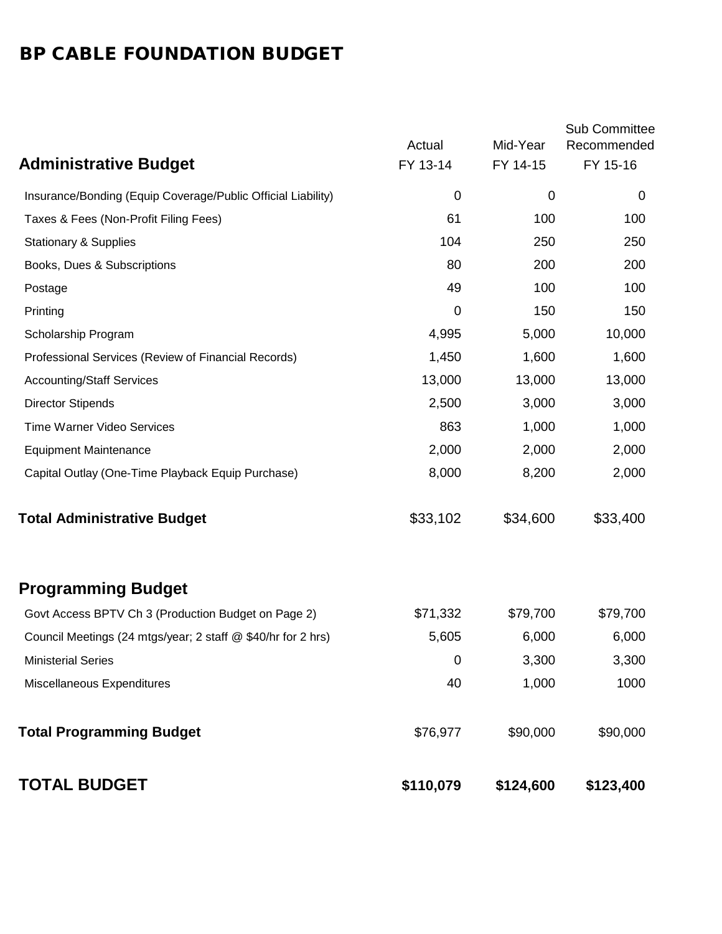# BP CABLE FOUNDATION BUDGET

|                                                              | Actual      | Mid-Year    | <b>Sub Committee</b><br>Recommended |
|--------------------------------------------------------------|-------------|-------------|-------------------------------------|
| <b>Administrative Budget</b>                                 | FY 13-14    | FY 14-15    | FY 15-16                            |
| Insurance/Bonding (Equip Coverage/Public Official Liability) | 0           | $\mathbf 0$ | 0                                   |
| Taxes & Fees (Non-Profit Filing Fees)                        | 61          | 100         | 100                                 |
| <b>Stationary &amp; Supplies</b>                             | 104         | 250         | 250                                 |
| Books, Dues & Subscriptions                                  | 80          | 200         | 200                                 |
| Postage                                                      | 49          | 100         | 100                                 |
| Printing                                                     | $\mathbf 0$ | 150         | 150                                 |
| Scholarship Program                                          | 4,995       | 5,000       | 10,000                              |
| Professional Services (Review of Financial Records)          | 1,450       | 1,600       | 1,600                               |
| <b>Accounting/Staff Services</b>                             | 13,000      | 13,000      | 13,000                              |
| <b>Director Stipends</b>                                     | 2,500       | 3,000       | 3,000                               |
| <b>Time Warner Video Services</b>                            | 863         | 1,000       | 1,000                               |
| <b>Equipment Maintenance</b>                                 | 2,000       | 2,000       | 2,000                               |
| Capital Outlay (One-Time Playback Equip Purchase)            | 8,000       | 8,200       | 2,000                               |
| <b>Total Administrative Budget</b>                           | \$33,102    | \$34,600    | \$33,400                            |
| <b>Programming Budget</b>                                    |             |             |                                     |
| Govt Access BPTV Ch 3 (Production Budget on Page 2)          | \$71,332    | \$79,700    | \$79,700                            |
| Council Meetings (24 mtgs/year; 2 staff @ \$40/hr for 2 hrs) | 5,605       | 6,000       | 6,000                               |
| <b>Ministerial Series</b>                                    | 0           | 3,300       | 3,300                               |
| Miscellaneous Expenditures                                   | 40          | 1,000       | 1000                                |
| <b>Total Programming Budget</b>                              | \$76,977    | \$90,000    | \$90,000                            |
| <b>TOTAL BUDGET</b>                                          | \$110,079   | \$124,600   | \$123,400                           |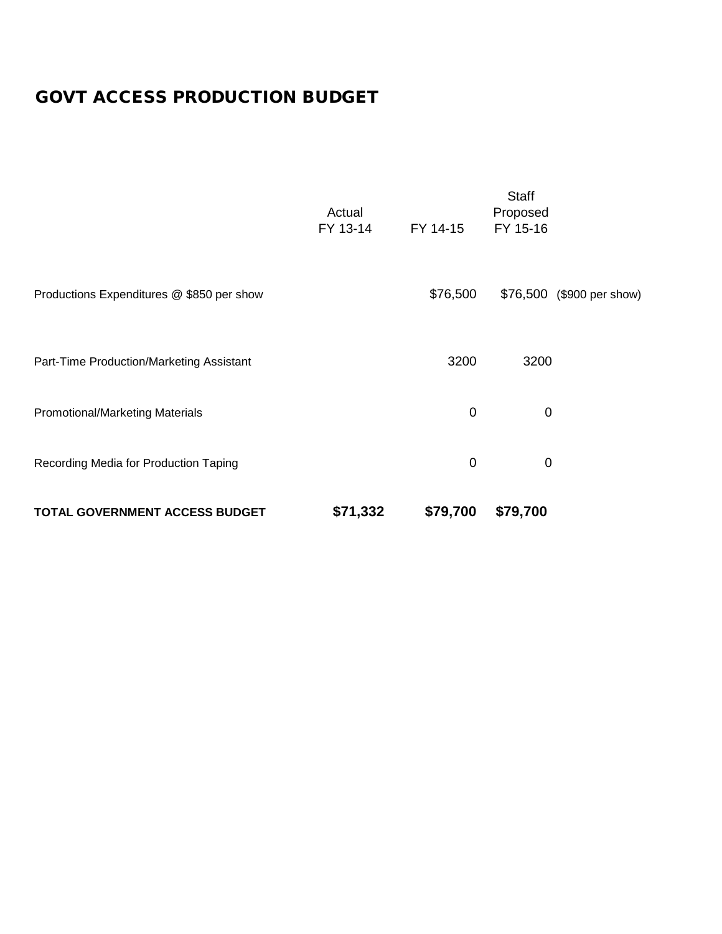# GOVT ACCESS PRODUCTION BUDGET

| <b>TOTAL GOVERNMENT ACCESS BUDGET</b>     | \$71,332           | \$79,700 | \$79,700                             |                           |
|-------------------------------------------|--------------------|----------|--------------------------------------|---------------------------|
| Recording Media for Production Taping     |                    | 0        | 0                                    |                           |
| Promotional/Marketing Materials           |                    | 0        | $\mathbf 0$                          |                           |
| Part-Time Production/Marketing Assistant  |                    | 3200     | 3200                                 |                           |
| Productions Expenditures @ \$850 per show |                    | \$76,500 |                                      | \$76,500 (\$900 per show) |
|                                           | Actual<br>FY 13-14 | FY 14-15 | <b>Staff</b><br>Proposed<br>FY 15-16 |                           |